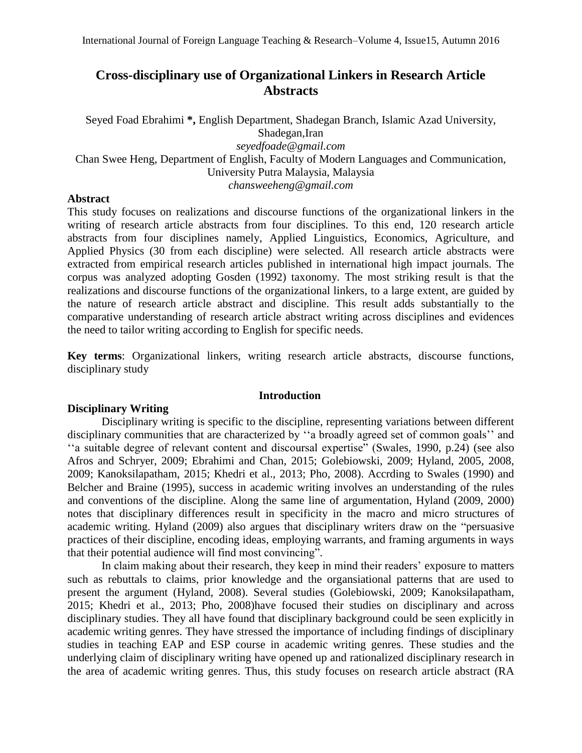# **Cross-disciplinary use of Organizational Linkers in Research Article Abstracts**

Seyed Foad Ebrahimi **\*,** English Department, Shadegan Branch, Islamic Azad University, Shadegan,Iran *[seyedfoade@gmail.com](mailto:seyedfoade@gmail.com)* Chan Swee Heng, Department of English, Faculty of Modern Languages and Communication, University Putra Malaysia, Malaysia *chansweeheng@gmail.com*

# **Abstract**

This study focuses on realizations and discourse functions of the organizational linkers in the writing of research article abstracts from four disciplines. To this end, 120 research article abstracts from four disciplines namely, Applied Linguistics, Economics, Agriculture, and Applied Physics (30 from each discipline) were selected. All research article abstracts were extracted from empirical research articles published in international high impact journals. The corpus was analyzed adopting Gosden (1992) taxonomy. The most striking result is that the realizations and discourse functions of the organizational linkers, to a large extent, are guided by the nature of research article abstract and discipline. This result adds substantially to the comparative understanding of research article abstract writing across disciplines and evidences the need to tailor writing according to English for specific needs.

**Key terms**: Organizational linkers, writing research article abstracts, discourse functions, disciplinary study

### **Introduction**

# **Disciplinary Writing**

Disciplinary writing is specific to the discipline, representing variations between different disciplinary communities that are characterized by ''a broadly agreed set of common goals'' and ''a suitable degree of relevant content and discoursal expertise" (Swales, 1990, p.24) (see also Afros and Schryer, 2009; Ebrahimi and Chan, 2015; Golebiowski, 2009; Hyland, 2005, 2008, 2009; Kanoksilapatham, 2015; Khedri et al., 2013; Pho, 2008). Accrding to Swales (1990) and Belcher and Braine (1995), success in academic writing involves an understanding of the rules and conventions of the discipline. Along the same line of argumentation, Hyland (2009, 2000) notes that disciplinary differences result in specificity in the macro and micro structures of academic writing. Hyland (2009) also argues that disciplinary writers draw on the "persuasive practices of their discipline, encoding ideas, employing warrants, and framing arguments in ways that their potential audience will find most convincing".

In claim making about their research, they keep in mind their readers' exposure to matters such as rebuttals to claims, prior knowledge and the organsiational patterns that are used to present the argument (Hyland, 2008). Several studies (Golebiowski, 2009; Kanoksilapatham, 2015; Khedri et al., 2013; Pho, 2008)have focused their studies on disciplinary and across disciplinary studies. They all have found that disciplinary background could be seen explicitly in academic writing genres. They have stressed the importance of including findings of disciplinary studies in teaching EAP and ESP course in academic writing genres. These studies and the underlying claim of disciplinary writing have opened up and rationalized disciplinary research in the area of academic writing genres. Thus, this study focuses on research article abstract (RA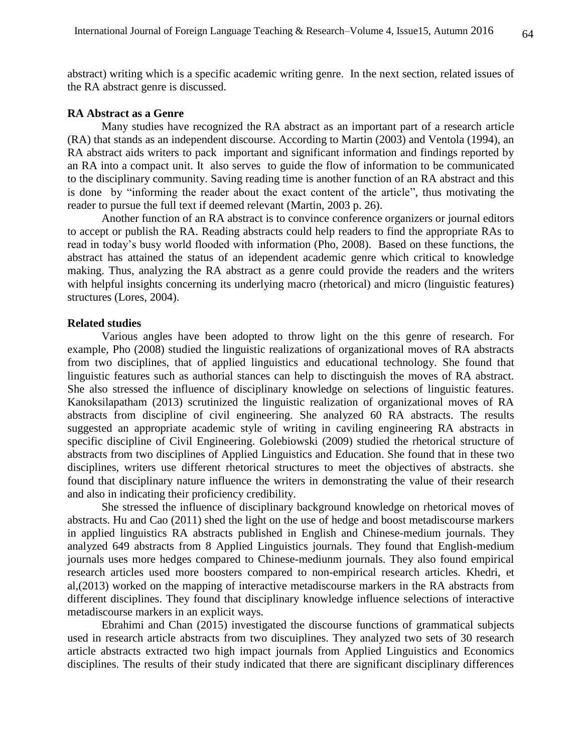abstract) writing which is a specific academic writing genre. In the next section, related issues of the RA abstract genre is discussed.

#### **RA Abstract as a Genre**

Many studies have recognized the RA abstract as an important part of a research article (RA) that stands as an independent discourse. According to Martin (2003) and Ventola (1994), an RA abstract aids writers to pack important and significant information and findings reported by an RA into a compact unit. It also serves to guide the flow of information to be communicated to the disciplinary community. Saving reading time is another function of an RA abstract and this is done by "informing the reader about the exact content of the article", thus motivating the reader to pursue the full text if deemed relevant (Martin, 2003 p. 26).

Another function of an RA abstract is to convince conference organizers or journal editors to accept or publish the RA. Reading abstracts could help readers to find the appropriate RAs to read in today's busy world flooded with information (Pho, 2008). Based on these functions, the abstract has attained the status of an idependent academic genre which critical to knowledge making. Thus, analyzing the RA abstract as a genre could provide the readers and the writers with helpful insights concerning its underlying macro (rhetorical) and micro (linguistic features) structures (Lores, 2004).

#### **Related studies**

Various angles have been adopted to throw light on the this genre of research. For example, Pho (2008) studied the linguistic realizations of organizational moves of RA abstracts from two disciplines, that of applied linguistics and educational technology. She found that linguistic features such as authorial stances can help to disctinguish the moves of RA abstract. She also stressed the influence of disciplinary knowledge on selections of linguistic features. Kanoksilapatham (2013) scrutinized the linguistic realization of organizational moves of RA abstracts from discipline of civil engineering. She analyzed 60 RA abstracts. The results suggested an appropriate academic style of writing in caviling engineering RA abstracts in specific discipline of Civil Engineering. Golebiowski (2009) studied the rhetorical structure of abstracts from two disciplines of Applied Linguistics and Education. She found that in these two disciplines, writers use different rhetorical structures to meet the objectives of abstracts. she found that disciplinary nature influence the writers in demonstrating the value of their research and also in indicating their proficiency credibility.

She stressed the influence of disciplinary background knowledge on rhetorical moves of abstracts. Hu and Cao (2011) shed the light on the use of hedge and boost metadiscourse markers in applied linguistics RA abstracts published in English and Chinese-medium journals. They analyzed 649 abstracts from 8 Applied Linguistics journals. They found that English-medium journals uses more hedges compared to Chinese-mediunm journals. They also found empirical research articles used more boosters compared to non-empirical research articles. Khedri, et al,(2013) worked on the mapping of interactive metadiscourse markers in the RA abstracts from different disciplines. They found that disciplinary knowledge influence selections of interactive metadiscourse markers in an explicit ways.

Ebrahimi and Chan (2015) investigated the discourse functions of grammatical subjects used in research article abstracts from two discuiplines. They analyzed two sets of 30 research article abstracts extracted two high impact journals from Applied Linguistics and Economics disciplines. The results of their study indicated that there are significant disciplinary differences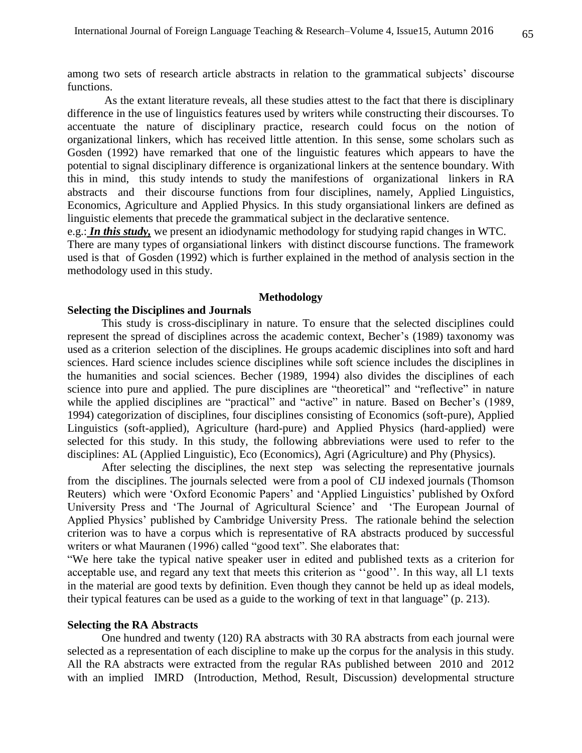among two sets of research article abstracts in relation to the grammatical subjects' discourse functions.

As the extant literature reveals, all these studies attest to the fact that there is disciplinary difference in the use of linguistics features used by writers while constructing their discourses. To accentuate the nature of disciplinary practice, research could focus on the notion of organizational linkers, which has received little attention. In this sense, some scholars such as Gosden (1992) have remarked that one of the linguistic features which appears to have the potential to signal disciplinary difference is organizational linkers at the sentence boundary. With this in mind, this study intends to study the manifestions of organizational linkers in RA abstracts and their discourse functions from four disciplines, namely, Applied Linguistics, Economics, Agriculture and Applied Physics. In this study organsiational linkers are defined as linguistic elements that precede the grammatical subject in the declarative sentence.

e.g.: *In this study,* we present an idiodynamic methodology for studying rapid changes in WTC. There are many types of organsiational linkers with distinct discourse functions. The framework used is that of Gosden (1992) which is further explained in the method of analysis section in the methodology used in this study.

## **Methodology**

# **Selecting the Disciplines and Journals**

This study is cross-disciplinary in nature. To ensure that the selected disciplines could represent the spread of disciplines across the academic context, Becher's (1989) taxonomy was used as a criterion selection of the disciplines. He groups academic disciplines into soft and hard sciences. Hard science includes science disciplines while soft science includes the disciplines in the humanities and social sciences. Becher (1989, 1994) also divides the disciplines of each science into pure and applied. The pure disciplines are "theoretical" and "reflective" in nature while the applied disciplines are "practical" and "active" in nature. Based on Becher's (1989, 1994) categorization of disciplines, four disciplines consisting of Economics (soft-pure), Applied Linguistics (soft-applied), Agriculture (hard-pure) and Applied Physics (hard-applied) were selected for this study. In this study, the following abbreviations were used to refer to the disciplines: AL (Applied Linguistic), Eco (Economics), Agri (Agriculture) and Phy (Physics).

After selecting the disciplines, the next step was selecting the representative journals from the disciplines. The journals selected were from a pool of CIJ indexed journals (Thomson Reuters) which were 'Oxford Economic Papers' and 'Applied Linguistics' published by Oxford University Press and 'The Journal of Agricultural Science' and 'The European Journal of Applied Physics' published by Cambridge University Press. The rationale behind the selection criterion was to have a corpus which is representative of RA abstracts produced by successful writers or what Mauranen (1996) called "good text". She elaborates that:

"We here take the typical native speaker user in edited and published texts as a criterion for acceptable use, and regard any text that meets this criterion as ''good''. In this way, all L1 texts in the material are good texts by definition. Even though they cannot be held up as ideal models, their typical features can be used as a guide to the working of text in that language" (p. 213).

#### **Selecting the RA Abstracts**

One hundred and twenty (120) RA abstracts with 30 RA abstracts from each journal were selected as a representation of each discipline to make up the corpus for the analysis in this study. All the RA abstracts were extracted from the regular RAs published between 2010 and 2012 with an implied IMRD (Introduction, Method, Result, Discussion) developmental structure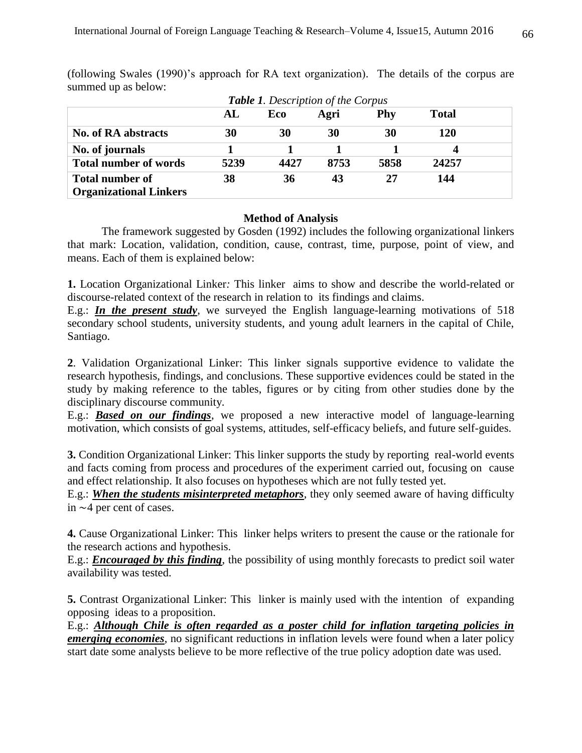| <b>Table 1.</b> Description of the Corpus               |      |      |      |      |              |
|---------------------------------------------------------|------|------|------|------|--------------|
|                                                         | AL   | Eco  | Agri | Phy  | <b>Total</b> |
| <b>No. of RA abstracts</b>                              | 30   | 30   | 30   | 30   | 120          |
| No. of journals                                         |      |      |      |      |              |
| <b>Total number of words</b>                            | 5239 | 4427 | 8753 | 5858 | 24257        |
| <b>Total number of</b><br><b>Organizational Linkers</b> | 38   | 36   | 43   | 27   | 144          |

(following Swales (1990)'s approach for RA text organization). The details of the corpus are summed up as below:

# **Method of Analysis**

The framework suggested by Gosden (1992) includes the following organizational linkers that mark: Location, validation, condition, cause, contrast, time, purpose, point of view, and means. Each of them is explained below:

**1.** Location Organizational Linker*:* This linker aims to show and describe the world-related or discourse-related context of the research in relation to its findings and claims.

E.g.: *In the present study*, we surveyed the English language-learning motivations of 518 secondary school students, university students, and young adult learners in the capital of Chile, Santiago.

**2**. Validation Organizational Linker: This linker signals supportive evidence to validate the research hypothesis, findings, and conclusions. These supportive evidences could be stated in the study by making reference to the tables, figures or by citing from other studies done by the disciplinary discourse community.

E.g.: *Based on our findings*, we proposed a new interactive model of language-learning motivation, which consists of goal systems, attitudes, self-efficacy beliefs, and future self-guides.

**3.** Condition Organizational Linker: This linker supports the study by reporting real-world events and facts coming from process and procedures of the experiment carried out, focusing on cause and effect relationship. It also focuses on hypotheses which are not fully tested yet.

E.g.: *When the students misinterpreted metaphors*, they only seemed aware of having difficulty in ∼4 per cent of cases.

**4.** Cause Organizational Linker: This linker helps writers to present the cause or the rationale for the research actions and hypothesis.

E.g.: *Encouraged by this finding*, the possibility of using monthly forecasts to predict soil water availability was tested.

**5.** Contrast Organizational Linker: This linker is mainly used with the intention of expanding opposing ideas to a proposition.

E.g.: *Although Chile is often regarded as a poster child for inflation targeting policies in emerging economies*, no significant reductions in inflation levels were found when a later policy start date some analysts believe to be more reflective of the true policy adoption date was used.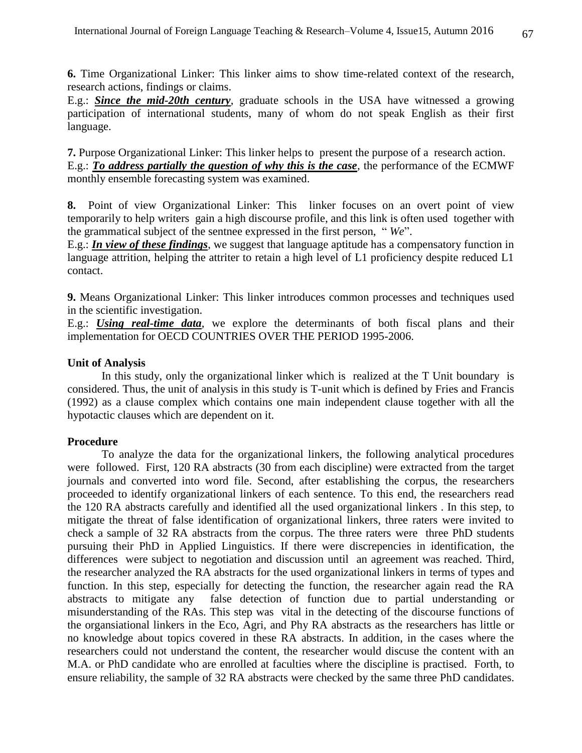**6.** Time Organizational Linker: This linker aims to show time-related context of the research, research actions, findings or claims.

E.g.: *Since the mid-20th century*, graduate schools in the USA have witnessed a growing participation of international students, many of whom do not speak English as their first language.

**7.** Purpose Organizational Linker: This linker helps to present the purpose of a research action. E.g.: *To address partially the question of why this is the case*, the performance of the ECMWF monthly ensemble forecasting system was examined.

**8.** Point of view Organizational Linker: This linker focuses on an overt point of view temporarily to help writers gain a high discourse profile, and this link is often used together with the grammatical subject of the sentnee expressed in the first person, " *We*".

E.g.: *In view of these findings*, we suggest that language aptitude has a compensatory function in language attrition, helping the attriter to retain a high level of L1 proficiency despite reduced L1 contact.

**9.** Means Organizational Linker: This linker introduces common processes and techniques used in the scientific investigation.

E.g.: *Using real-time data*, we explore the determinants of both fiscal plans and their implementation for OECD COUNTRIES OVER THE PERIOD 1995-2006.

## **Unit of Analysis**

In this study, only the organizational linker which is realized at the T Unit boundary is considered. Thus, the unit of analysis in this study is T-unit which is defined by Fries and Francis (1992) as a clause complex which contains one main independent clause together with all the hypotactic clauses which are dependent on it.

#### **Procedure**

To analyze the data for the organizational linkers, the following analytical procedures were followed. First, 120 RA abstracts (30 from each discipline) were extracted from the target journals and converted into word file. Second, after establishing the corpus, the researchers proceeded to identify organizational linkers of each sentence. To this end, the researchers read the 120 RA abstracts carefully and identified all the used organizational linkers . In this step, to mitigate the threat of false identification of organizational linkers, three raters were invited to check a sample of 32 RA abstracts from the corpus. The three raters were three PhD students pursuing their PhD in Applied Linguistics. If there were discrepencies in identification, the differences were subject to negotiation and discussion until an agreement was reached. Third, the researcher analyzed the RA abstracts for the used organizational linkers in terms of types and function. In this step, especially for detecting the function, the researcher again read the RA abstracts to mitigate any false detection of function due to partial understanding or misunderstanding of the RAs. This step was vital in the detecting of the discourse functions of the organsiational linkers in the Eco, Agri, and Phy RA abstracts as the researchers has little or no knowledge about topics covered in these RA abstracts. In addition, in the cases where the researchers could not understand the content, the researcher would discuse the content with an M.A. or PhD candidate who are enrolled at faculties where the discipline is practised. Forth, to ensure reliability, the sample of 32 RA abstracts were checked by the same three PhD candidates.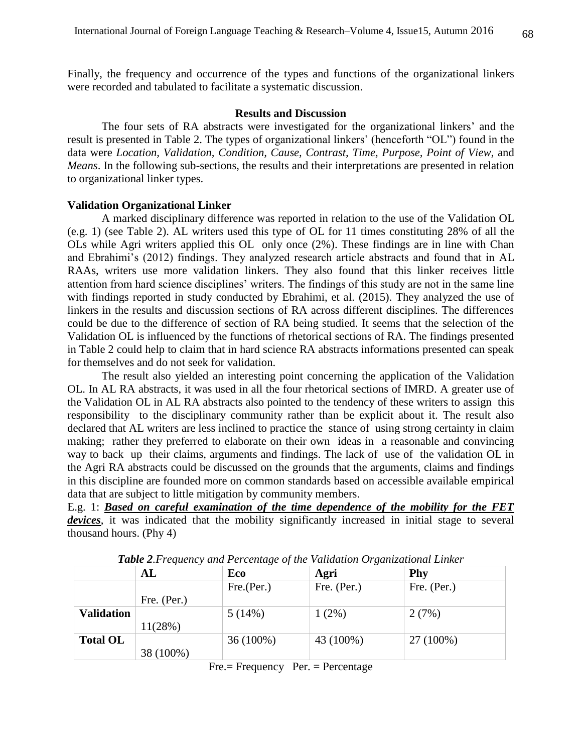Finally, the frequency and occurrence of the types and functions of the organizational linkers were recorded and tabulated to facilitate a systematic discussion.

#### **Results and Discussion**

The four sets of RA abstracts were investigated for the organizational linkers' and the result is presented in Table 2. The types of organizational linkers' (henceforth "OL") found in the data were *Location, Validation, Condition, Cause, Contrast, Time, Purpose, Point of View, and Means*. In the following sub-sections, the results and their interpretations are presented in relation to organizational linker types.

#### **Validation Organizational Linker**

A marked disciplinary difference was reported in relation to the use of the Validation OL (e.g. 1) (see Table 2). AL writers used this type of OL for 11 times constituting 28% of all the OLs while Agri writers applied this OL only once (2%). These findings are in line with Chan and Ebrahimi's (2012) findings. They analyzed research article abstracts and found that in AL RAAs, writers use more validation linkers. They also found that this linker receives little attention from hard science disciplines' writers. The findings of this study are not in the same line with findings reported in study conducted by Ebrahimi, et al. (2015). They analyzed the use of linkers in the results and discussion sections of RA across different disciplines. The differences could be due to the difference of section of RA being studied. It seems that the selection of the Validation OL is influenced by the functions of rhetorical sections of RA. The findings presented in Table 2 could help to claim that in hard science RA abstracts informations presented can speak for themselves and do not seek for validation.

 The result also yielded an interesting point concerning the application of the Validation OL. In AL RA abstracts, it was used in all the four rhetorical sections of IMRD. A greater use of the Validation OL in AL RA abstracts also pointed to the tendency of these writers to assign this responsibility to the disciplinary community rather than be explicit about it. The result also declared that AL writers are less inclined to practice the stance of using strong certainty in claim making; rather they preferred to elaborate on their own ideas in a reasonable and convincing way to back up their claims, arguments and findings. The lack of use of the validation OL in the Agri RA abstracts could be discussed on the grounds that the arguments, claims and findings in this discipline are founded more on common standards based on accessible available empirical data that are subject to little mitigation by community members.

E.g. 1: *Based on careful examination of the time dependence of the mobility for the FET*  devices, it was indicated that the mobility significantly increased in initial stage to several thousand hours. (Phy 4)

|                   | AL          | Eco        | Agri        | Phy         |
|-------------------|-------------|------------|-------------|-------------|
|                   |             | Fre.(Per.) | Fre. (Per.) | Fre. (Per.) |
|                   | Fre. (Per.) |            |             |             |
| <b>Validation</b> |             | 5(14%)     | $1(2\%)$    | 2(7%)       |
|                   | 11(28%)     |            |             |             |
| <b>Total OL</b>   |             | 36 (100%)  | 43 (100%)   | 27 (100%)   |
|                   | 38 (100%)   |            |             |             |

*Table 2.Frequency and Percentage of the Validation Organizational Linker*

Fre.= Frequency Per. = Percentage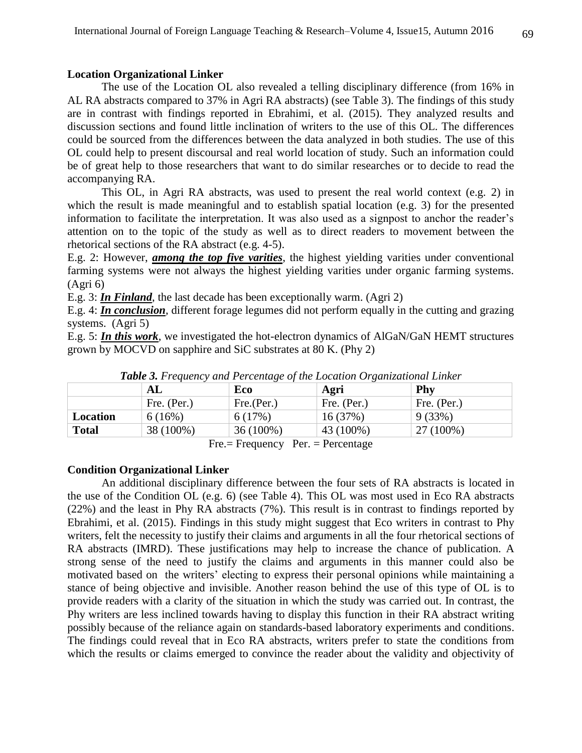### **Location Organizational Linker**

The use of the Location OL also revealed a telling disciplinary difference (from 16% in AL RA abstracts compared to 37% in Agri RA abstracts) (see Table 3). The findings of this study are in contrast with findings reported in Ebrahimi, et al. (2015). They analyzed results and discussion sections and found little inclination of writers to the use of this OL. The differences could be sourced from the differences between the data analyzed in both studies. The use of this OL could help to present discoursal and real world location of study. Such an information could be of great help to those researchers that want to do similar researches or to decide to read the accompanying RA.

This OL, in Agri RA abstracts, was used to present the real world context (e.g. 2) in which the result is made meaningful and to establish spatial location (e.g. 3) for the presented information to facilitate the interpretation. It was also used as a signpost to anchor the reader's attention on to the topic of the study as well as to direct readers to movement between the rhetorical sections of the RA abstract (e.g. 4-5).

E.g. 2: However, *among the top five varities*, the highest yielding varities under conventional farming systems were not always the highest yielding varities under organic farming systems. (Agri 6)

E.g. 3: *In Finland*, the last decade has been exceptionally warm. (Agri 2)

E.g. 4: *In conclusion*, different forage legumes did not perform equally in the cutting and grazing systems. (Agri 5)

E.g. 5: *In this work*, we investigated the hot-electron dynamics of AlGaN/GaN HEMT structures grown by MOCVD on sapphire and SiC substrates at 80 K. (Phy 2)

|          | AL          | Eco         | Agri        | Phy         |
|----------|-------------|-------------|-------------|-------------|
|          | Fre. (Per.) | Fre.(Per.)  | Fre. (Per.) | Fre. (Per.) |
| Location | 6(16%)      | 6(17%)      | 16 (37%)    | 9(33%)      |
| Total    | 38 (100%)   | $36(100\%)$ | 43 (100%)   | 27 (100%)   |
|          | −           | T.          | T.          |             |

*Table 3. Frequency and Percentage of the Location Organizational Linker*

Fre.= Frequency Per. = Percentage

# **Condition Organizational Linker**

An additional disciplinary difference between the four sets of RA abstracts is located in the use of the Condition OL (e.g. 6) (see Table 4). This OL was most used in Eco RA abstracts (22%) and the least in Phy RA abstracts (7%). This result is in contrast to findings reported by Ebrahimi, et al. (2015). Findings in this study might suggest that Eco writers in contrast to Phy writers, felt the necessity to justify their claims and arguments in all the four rhetorical sections of RA abstracts (IMRD). These justifications may help to increase the chance of publication. A strong sense of the need to justify the claims and arguments in this manner could also be motivated based on the writers' electing to express their personal opinions while maintaining a stance of being objective and invisible. Another reason behind the use of this type of OL is to provide readers with a clarity of the situation in which the study was carried out. In contrast, the Phy writers are less inclined towards having to display this function in their RA abstract writing possibly because of the reliance again on standards-based laboratory experiments and conditions. The findings could reveal that in Eco RA abstracts, writers prefer to state the conditions from which the results or claims emerged to convince the reader about the validity and objectivity of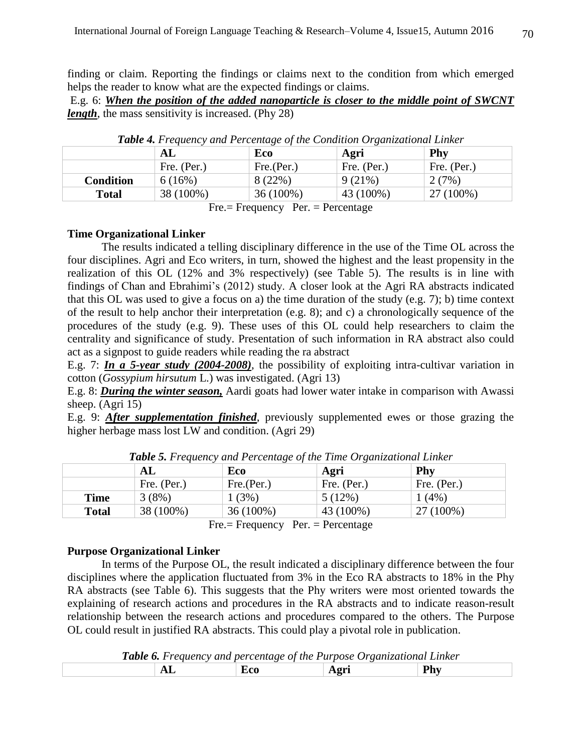finding or claim. Reporting the findings or claims next to the condition from which emerged helps the reader to know what are the expected findings or claims.

E.g. 6: *When the position of the added nanoparticle is closer to the middle point of SWCNT length*, the mass sensitivity is increased. (Phy 28)

|                  | ${\bf AL}$  | Eco        | Agri        | Phy         |
|------------------|-------------|------------|-------------|-------------|
|                  | Fre. (Per.) | Fre.(Per.) | Fre. (Per.) | Fre. (Per.) |
| <b>Condition</b> | 6(16%)      | 8(22%)     | $9(21\%)$   | 2(7%)       |
| Total            | 38 (100%)   | 36 (100%)  | 43 (100%)   | 27 (100%)   |

*Table 4. Frequency and Percentage of the Condition Organizational Linker*

Fre.= Frequency Per. = Percentage

# **Time Organizational Linker**

The results indicated a telling disciplinary difference in the use of the Time OL across the four disciplines. Agri and Eco writers, in turn, showed the highest and the least propensity in the realization of this OL (12% and 3% respectively) (see Table 5). The results is in line with findings of Chan and Ebrahimi's (2012) study. A closer look at the Agri RA abstracts indicated that this OL was used to give a focus on a) the time duration of the study (e.g. 7); b) time context of the result to help anchor their interpretation (e.g. 8); and c) a chronologically sequence of the procedures of the study (e.g. 9). These uses of this OL could help researchers to claim the centrality and significance of study. Presentation of such information in RA abstract also could act as a signpost to guide readers while reading the ra abstract

E.g. 7: *In a 5-year study (2004-2008)*, the possibility of exploiting intra-cultivar variation in cotton (*Gossypium hirsutum* L.) was investigated. (Agri 13)

E.g. 8: *During the winter season,* Aardi goats had lower water intake in comparison with Awassi sheep.  $(Agri 15)$ 

E.g. 9: *After supplementation finished*, previously supplemented ewes or those grazing the higher herbage mass lost LW and condition. (Agri 29)

|              | AL          | ◡<br>Eco   | Agri        | Phy         |
|--------------|-------------|------------|-------------|-------------|
|              | Fre. (Per.) | Fre.(Per.) | Fre. (Per.) | Fre. (Per.) |
| Time         | 3(8%)       | 1(3%)      | 5(12%)      | $1(4\%)$    |
| <b>Total</b> | 38 (100%)   | 36 (100%)  | 43 (100%)   | 27 (100%)   |

*Table 5. Frequency and Percentage of the Time Organizational Linker*

Fre.= Frequency Per. = Percentage

### **Purpose Organizational Linker**

In terms of the Purpose OL, the result indicated a disciplinary difference between the four disciplines where the application fluctuated from 3% in the Eco RA abstracts to 18% in the Phy RA abstracts (see Table 6). This suggests that the Phy writers were most oriented towards the explaining of research actions and procedures in the RA abstracts and to indicate reason-result relationship between the research actions and procedures compared to the others. The Purpose OL could result in justified RA abstracts. This could play a pivotal role in publication.

*Table 6. Frequency and percentage of the Purpose Organizational Linker*

|  | ___ | ---<br>- -<br>__ | -- | -- |
|--|-----|------------------|----|----|
|  |     |                  |    |    |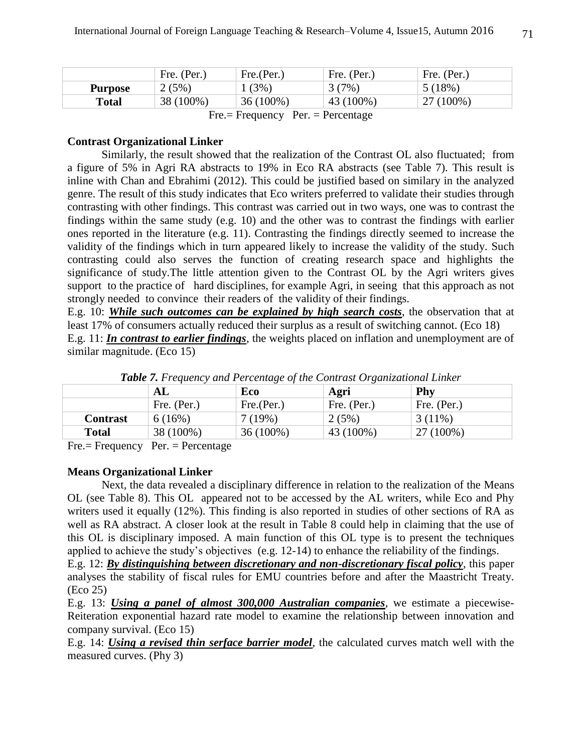|                | Fre. (Per.) | Fre.(Per.)  | Fre. (Per.) | Fre. (Per.) |
|----------------|-------------|-------------|-------------|-------------|
| <b>Purpose</b> | 2(5%)       | 1(3%)       | 3(7%)       | 5(18%)      |
| Total          | 38 (100%)   | $36(100\%)$ | 43 (100%)   | 27 (100%)   |

Fre.= Frequency Per. = Percentage

## **Contrast Organizational Linker**

Similarly, the result showed that the realization of the Contrast OL also fluctuated; from a figure of 5% in Agri RA abstracts to 19% in Eco RA abstracts (see Table 7). This result is inline with Chan and Ebrahimi (2012). This could be justified based on similary in the analyzed genre. The result of this study indicates that Eco writers preferred to validate their studies through contrasting with other findings. This contrast was carried out in two ways, one was to contrast the findings within the same study (e.g. 10) and the other was to contrast the findings with earlier ones reported in the literature (e.g. 11). Contrasting the findings directly seemed to increase the validity of the findings which in turn appeared likely to increase the validity of the study. Such contrasting could also serves the function of creating research space and highlights the significance of study.The little attention given to the Contrast OL by the Agri writers gives support to the practice of hard disciplines, for example Agri, in seeing that this approach as not strongly needed to convince their readers of the validity of their findings.

E.g. 10: *While such outcomes can be explained by high search costs*, the observation that at least 17% of consumers actually reduced their surplus as a result of switching cannot. (Eco 18)

E.g. 11: *In contrast to earlier findings*, the weights placed on inflation and unemployment are of similar magnitude. (Eco 15)

|                                                      |                         | $\omega$    |             |             |
|------------------------------------------------------|-------------------------|-------------|-------------|-------------|
|                                                      | AL                      | Eco         | Agri        | Phy         |
|                                                      | Fre. $(Per.)$           | Fre.(Per.)  | Fre. (Per.) | Fre. (Per.) |
| <b>Contrast</b>                                      | 6(16%)                  | $7(19\%)$   | 2(5%)       | $3(11\%)$   |
| <b>Total</b>                                         | 38 (100%)               | $36(100\%)$ | 43 (100%)   | 27 (100%)   |
| $\overline{\phantom{0}}$<br>$\overline{\phantom{0}}$ | $\sim$<br>$\sim$ $\sim$ |             |             |             |

*Table 7. Frequency and Percentage of the Contrast Organizational Linker*

Fre.= Frequency Per. = Percentage

# **Means Organizational Linker**

Next, the data revealed a disciplinary difference in relation to the realization of the Means OL (see Table 8). This OL appeared not to be accessed by the AL writers, while Eco and Phy writers used it equally (12%). This finding is also reported in studies of other sections of RA as well as RA abstract. A closer look at the result in Table 8 could help in claiming that the use of this OL is disciplinary imposed. A main function of this OL type is to present the techniques applied to achieve the study's objectives (e.g. 12-14) to enhance the reliability of the findings.

E.g. 12: *By distinguishing between discretionary and non-discretionary fiscal policy*, this paper analyses the stability of fiscal rules for EMU countries before and after the Maastricht Treaty. (Eco 25)

E.g. 13: *Using a panel of almost 300,000 Australian companies*, we estimate a piecewise-Reiteration exponential hazard rate model to examine the relationship between innovation and company survival. (Eco 15)

E.g. 14: *Using a revised thin serface barrier model*, the calculated curves match well with the measured curves. (Phy 3)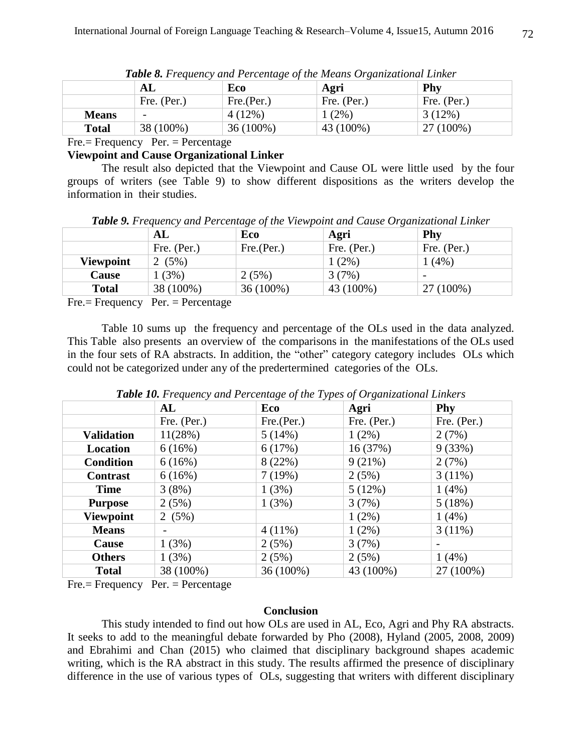|              | AL                       | Eco         | Agri        | Phy         |
|--------------|--------------------------|-------------|-------------|-------------|
|              | Fre. $(Per.)$            | Fre.(Per.)  | Fre. (Per.) | Fre. (Per.) |
| <b>Means</b> | $\overline{\phantom{0}}$ | 4(12%)      | $1(2\%)$    | $3(12\%)$   |
| <b>Total</b> | 38 (100%)                | $36(100\%)$ | 43 (100%)   | 27 (100%)   |

*Table 8. Frequency and Percentage of the Means Organizational Linker*

 $Fre. = Frequency$   $Per. = Percentage$ 

# **Viewpoint and Cause Organizational Linker**

The result also depicted that the Viewpoint and Cause OL were little used by the four groups of writers (see Table 9) to show different dispositions as the writers develop the information in their studies.

*Table 9. Frequency and Percentage of the Viewpoint and Cause Organizational Linker*

|                  | AL          | Eco         | Agri        | Phy                      |
|------------------|-------------|-------------|-------------|--------------------------|
|                  | Fre. (Per.) | Fre.(Per.)  | Fre. (Per.) | Fre. (Per.)              |
| <b>Viewpoint</b> | 2(5%)       |             | (2%)        | 1(4%)                    |
| Cause            | 1(3%)       | 2(5%)       | 3(7%)       | $\overline{\phantom{0}}$ |
| <b>Total</b>     | 38 (100%)   | $36(100\%)$ | 43 (100%)   | 27 (100%)                |
|                  |             |             |             |                          |

Fre.= Frequency Per. = Percentage

Table 10 sums up the frequency and percentage of the OLs used in the data analyzed. This Table also presents an overview of the comparisons in the manifestations of the OLs used in the four sets of RA abstracts. In addition, the "other" category category includes OLs which could not be categorized under any of the predertermined categories of the OLs.

|                   | AL          | <u>. . </u><br>Eco | Agri        | Phy                      |
|-------------------|-------------|--------------------|-------------|--------------------------|
|                   | Fre. (Per.) | Fre.(Per.)         | Fre. (Per.) | Fre. (Per.)              |
| <b>Validation</b> | 11(28%)     | 5(14%)             | $1(2\%)$    | 2(7%)                    |
| Location          | 6(16%)      | 6(17%)             | 16(37%)     | 9(33%)                   |
| <b>Condition</b>  | 6(16%)      | 8(22%)             | 9(21%)      | 2(7%)                    |
| <b>Contrast</b>   | 6(16%)      | 7(19%)             | 2(5%)       | 3(11%)                   |
| <b>Time</b>       | 3(8%)       | 1(3%)              | 5(12%)      | 1(4%)                    |
| <b>Purpose</b>    | 2(5%)       | 1(3%)              | 3(7%)       | 5(18%)                   |
| <b>Viewpoint</b>  | 2(5%)       |                    | $1(2\%)$    | $1(4\%)$                 |
| <b>Means</b>      |             | $4(11\%)$          | $1(2\%)$    | 3(11%)                   |
| Cause             | 1(3%)       | 2(5%)              | 3(7%)       | $\overline{\phantom{a}}$ |
| <b>Others</b>     | 1(3%)       | 2(5%)              | 2(5%)       | 1(4%)                    |
| <b>Total</b>      | 38 (100%)   | 36 (100%)          | 43 (100%)   | 27 (100%)                |

*Table 10. Frequency and Percentage of the Types of Organizational Linkers*

Fre.= Frequency Per. = Percentage

## **Conclusion**

This study intended to find out how OLs are used in AL, Eco, Agri and Phy RA abstracts. It seeks to add to the meaningful debate forwarded by Pho (2008), Hyland (2005, 2008, 2009) and Ebrahimi and Chan (2015) who claimed that disciplinary background shapes academic writing, which is the RA abstract in this study. The results affirmed the presence of disciplinary difference in the use of various types of OLs, suggesting that writers with different disciplinary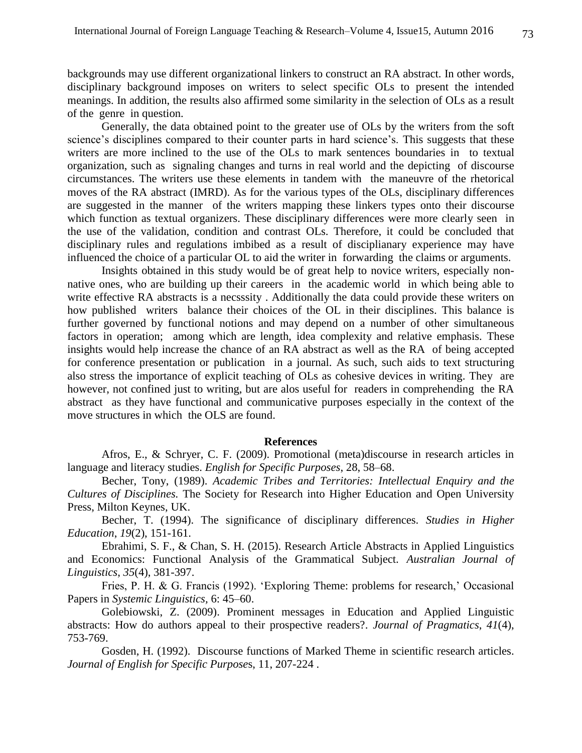backgrounds may use different organizational linkers to construct an RA abstract. In other words, disciplinary background imposes on writers to select specific OLs to present the intended meanings. In addition, the results also affirmed some similarity in the selection of OLs as a result of the genre in question.

Generally, the data obtained point to the greater use of OLs by the writers from the soft science's disciplines compared to their counter parts in hard science's. This suggests that these writers are more inclined to the use of the OLs to mark sentences boundaries in to textual organization, such as signaling changes and turns in real world and the depicting of discourse circumstances. The writers use these elements in tandem with the maneuvre of the rhetorical moves of the RA abstract (IMRD). As for the various types of the OLs, disciplinary differences are suggested in the manner of the writers mapping these linkers types onto their discourse which function as textual organizers. These disciplinary differences were more clearly seen in the use of the validation, condition and contrast OLs. Therefore, it could be concluded that disciplinary rules and regulations imbibed as a result of disciplianary experience may have influenced the choice of a particular OL to aid the writer in forwarding the claims or arguments.

Insights obtained in this study would be of great help to novice writers, especially nonnative ones, who are building up their careers in the academic world in which being able to write effective RA abstracts is a necsssity . Additionally the data could provide these writers on how published writers balance their choices of the OL in their disciplines. This balance is further governed by functional notions and may depend on a number of other simultaneous factors in operation; among which are length, idea complexity and relative emphasis. These insights would help increase the chance of an RA abstract as well as the RA of being accepted for conference presentation or publication in a journal. As such, such aids to text structuring also stress the importance of explicit teaching of OLs as cohesive devices in writing. They are however, not confined just to writing, but are alos useful for readers in comprehending the RA abstract as they have functional and communicative purposes especially in the context of the move structures in which the OLS are found.

#### **References**

Afros, E., & Schryer, C. F. (2009). Promotional (meta)discourse in research articles in language and literacy studies. *English for Specific Purposes*, 28, 58–68.

Becher, Tony, (1989). *Academic Tribes and Territories: Intellectual Enquiry and the Cultures of Disciplines.* The Society for Research into Higher Education and Open University Press, Milton Keynes, UK.

Becher, T. (1994). The significance of disciplinary differences. *Studies in Higher Education*, *19*(2), 151-161.

Ebrahimi, S. F., & Chan, S. H. (2015). Research Article Abstracts in Applied Linguistics and Economics: Functional Analysis of the Grammatical Subject. *Australian Journal of Linguistics*, *35*(4), 381-397.

Fries, P. H. & G. Francis (1992). 'Exploring Theme: problems for research,' Occasional Papers in *Systemic Linguistics,* 6: 45–60.

Golebiowski, Z. (2009). Prominent messages in Education and Applied Linguistic abstracts: How do authors appeal to their prospective readers?. *Journal of Pragmatics*, *41*(4), 753-769.

Gosden, H. (1992). Discourse functions of Marked Theme in scientific research articles. *Journal of English for Specific Purpose*s, 11, 207-224 .